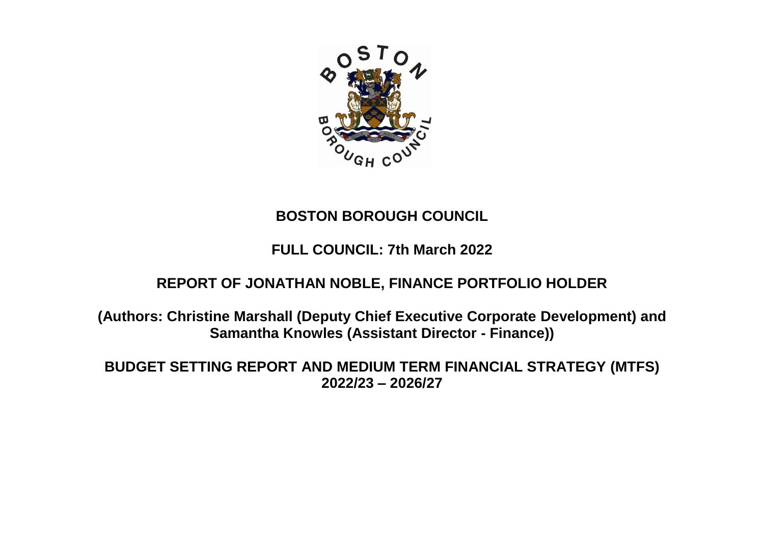

# **BOSTON BOROUGH COUNCIL**

# **FULL COUNCIL: 7th March 2022**

## **REPORT OF JONATHAN NOBLE, FINANCE PORTFOLIO HOLDER**

**(Authors: Christine Marshall (Deputy Chief Executive Corporate Development) and Samantha Knowles (Assistant Director - Finance))**

**BUDGET SETTING REPORT AND MEDIUM TERM FINANCIAL STRATEGY (MTFS) 2022/23 – 2026/27**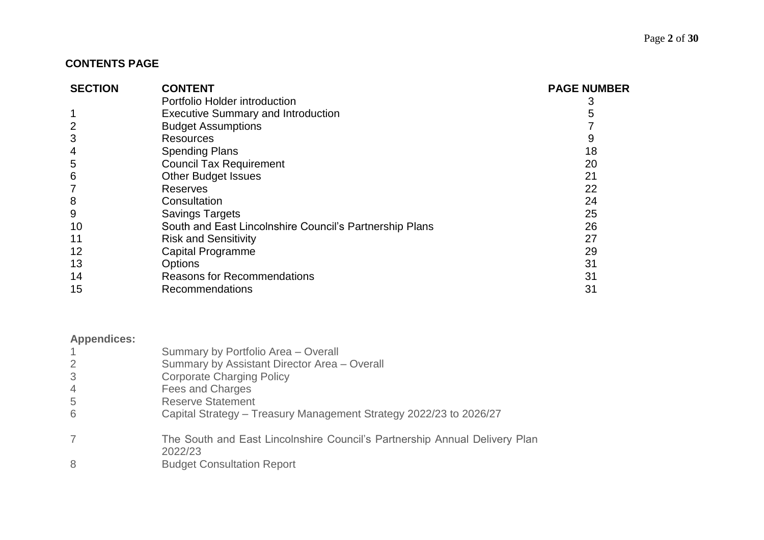## **CONTENTS PAGE**

| <b>SECTION</b>  | <b>CONTENT</b>                                          | <b>PAGE NUMBER</b> |
|-----------------|---------------------------------------------------------|--------------------|
|                 | Portfolio Holder introduction                           |                    |
|                 | <b>Executive Summary and Introduction</b>               |                    |
| $\overline{2}$  | <b>Budget Assumptions</b>                               |                    |
| 3               | <b>Resources</b>                                        |                    |
| 4               | <b>Spending Plans</b>                                   | 18                 |
| 5               | <b>Council Tax Requirement</b>                          | 20                 |
| $6\phantom{1}6$ | <b>Other Budget Issues</b>                              | 21                 |
|                 | Reserves                                                | 22                 |
| 8               | Consultation                                            | 24                 |
| 9               | <b>Savings Targets</b>                                  | 25                 |
| 10              | South and East Lincolnshire Council's Partnership Plans | 26                 |
| 11              | <b>Risk and Sensitivity</b>                             | 27                 |
| 12              | <b>Capital Programme</b>                                | 29                 |
| 13              | <b>Options</b>                                          | 31                 |
| 14              | <b>Reasons for Recommendations</b>                      | 31                 |
| 15              | Recommendations                                         | 31                 |

## **Appendices:**

|                | Summary by Portfolio Area - Overall<br>Summary by Assistant Director Area - Overall   |
|----------------|---------------------------------------------------------------------------------------|
|                | <b>Corporate Charging Policy</b>                                                      |
| $\overline{4}$ | Fees and Charges                                                                      |
| -5             | <b>Reserve Statement</b>                                                              |
| 6              | Capital Strategy - Treasury Management Strategy 2022/23 to 2026/27                    |
|                | The South and East Lincolnshire Council's Partnership Annual Delivery Plan<br>2022/23 |
| 8              | <b>Budget Consultation Report</b>                                                     |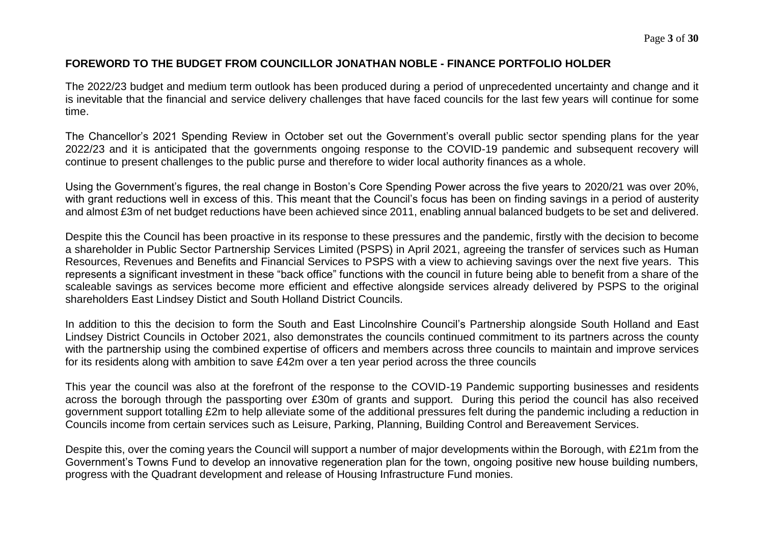## **FOREWORD TO THE BUDGET FROM COUNCILLOR JONATHAN NOBLE - FINANCE PORTFOLIO HOLDER**

The 2022/23 budget and medium term outlook has been produced during a period of unprecedented uncertainty and change and it is inevitable that the financial and service delivery challenges that have faced councils for the last few years will continue for some time.

The Chancellor's 2021 Spending Review in October set out the Government's overall public sector spending plans for the year 2022/23 and it is anticipated that the governments ongoing response to the COVID-19 pandemic and subsequent recovery will continue to present challenges to the public purse and therefore to wider local authority finances as a whole.

Using the Government's figures, the real change in Boston's Core Spending Power across the five years to 2020/21 was over 20%, with grant reductions well in excess of this. This meant that the Council's focus has been on finding savings in a period of austerity and almost £3m of net budget reductions have been achieved since 2011, enabling annual balanced budgets to be set and delivered.

Despite this the Council has been proactive in its response to these pressures and the pandemic, firstly with the decision to become a shareholder in Public Sector Partnership Services Limited (PSPS) in April 2021, agreeing the transfer of services such as Human Resources, Revenues and Benefits and Financial Services to PSPS with a view to achieving savings over the next five years. This represents a significant investment in these "back office" functions with the council in future being able to benefit from a share of the scaleable savings as services become more efficient and effective alongside services already delivered by PSPS to the original shareholders East Lindsey Distict and South Holland District Councils.

In addition to this the decision to form the South and East Lincolnshire Council's Partnership alongside South Holland and East Lindsey District Councils in October 2021, also demonstrates the councils continued commitment to its partners across the county with the partnership using the combined expertise of officers and members across three councils to maintain and improve services for its residents along with ambition to save £42m over a ten year period across the three councils

This year the council was also at the forefront of the response to the COVID-19 Pandemic supporting businesses and residents across the borough through the passporting over £30m of grants and support. During this period the council has also received government support totalling £2m to help alleviate some of the additional pressures felt during the pandemic including a reduction in Councils income from certain services such as Leisure, Parking, Planning, Building Control and Bereavement Services.

Despite this, over the coming years the Council will support a number of major developments within the Borough, with £21m from the Government's Towns Fund to develop an innovative regeneration plan for the town, ongoing positive new house building numbers, progress with the Quadrant development and release of Housing Infrastructure Fund monies.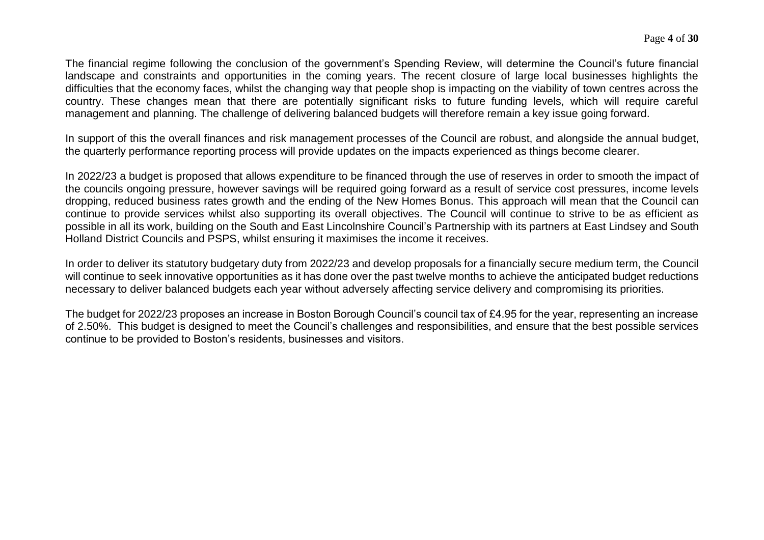The financial regime following the conclusion of the government's Spending Review, will determine the Council's future financial landscape and constraints and opportunities in the coming years. The recent closure of large local businesses highlights the difficulties that the economy faces, whilst the changing way that people shop is impacting on the viability of town centres across the country. These changes mean that there are potentially significant risks to future funding levels, which will require careful management and planning. The challenge of delivering balanced budgets will therefore remain a key issue going forward.

In support of this the overall finances and risk management processes of the Council are robust, and alongside the annual budget, the quarterly performance reporting process will provide updates on the impacts experienced as things become clearer.

In 2022/23 a budget is proposed that allows expenditure to be financed through the use of reserves in order to smooth the impact of the councils ongoing pressure, however savings will be required going forward as a result of service cost pressures, income levels dropping, reduced business rates growth and the ending of the New Homes Bonus. This approach will mean that the Council can continue to provide services whilst also supporting its overall objectives. The Council will continue to strive to be as efficient as possible in all its work, building on the South and East Lincolnshire Council's Partnership with its partners at East Lindsey and South Holland District Councils and PSPS, whilst ensuring it maximises the income it receives.

In order to deliver its statutory budgetary duty from 2022/23 and develop proposals for a financially secure medium term, the Council will continue to seek innovative opportunities as it has done over the past twelve months to achieve the anticipated budget reductions necessary to deliver balanced budgets each year without adversely affecting service delivery and compromising its priorities.

The budget for 2022/23 proposes an increase in Boston Borough Council's council tax of £4.95 for the year, representing an increase of 2.50%. This budget is designed to meet the Council's challenges and responsibilities, and ensure that the best possible services continue to be provided to Boston's residents, businesses and visitors.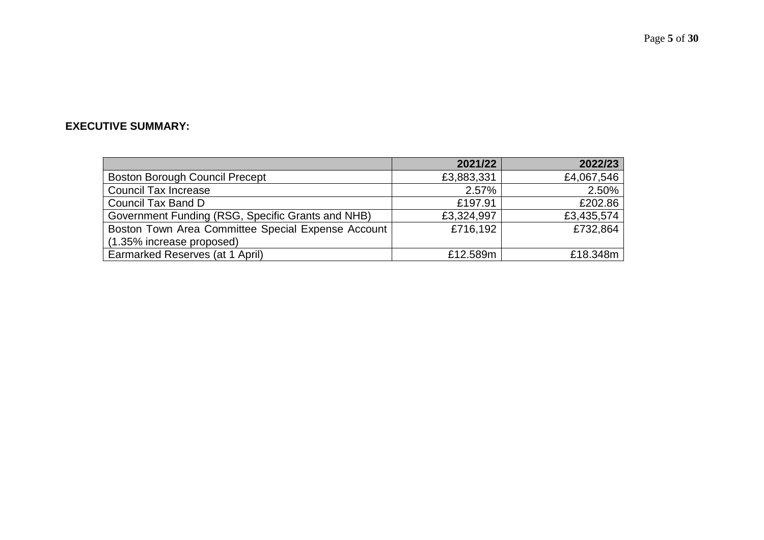## **EXECUTIVE SUMMARY:**

|                                                    | 2021/22    | 2022/23    |
|----------------------------------------------------|------------|------------|
| <b>Boston Borough Council Precept</b>              | £3,883,331 | £4,067,546 |
| <b>Council Tax Increase</b>                        | $2.57\%$   | 2.50%      |
| Council Tax Band D                                 | £197.91    | £202.86    |
| Government Funding (RSG, Specific Grants and NHB)  | £3,324,997 | £3,435,574 |
| Boston Town Area Committee Special Expense Account | £716,192   | £732,864   |
| (1.35% increase proposed)                          |            |            |
| Earmarked Reserves (at 1 April)                    | £12.589m   | £18.348m   |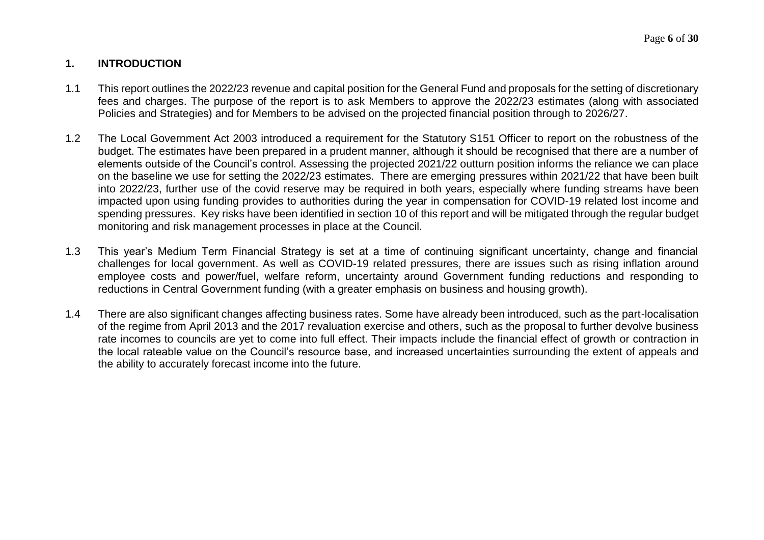## **1. INTRODUCTION**

- 1.1 This report outlines the 2022/23 revenue and capital position for the General Fund and proposals for the setting of discretionary fees and charges. The purpose of the report is to ask Members to approve the 2022/23 estimates (along with associated Policies and Strategies) and for Members to be advised on the projected financial position through to 2026/27.
- 1.2 The Local Government Act 2003 introduced a requirement for the Statutory S151 Officer to report on the robustness of the budget. The estimates have been prepared in a prudent manner, although it should be recognised that there are a number of elements outside of the Council's control. Assessing the projected 2021/22 outturn position informs the reliance we can place on the baseline we use for setting the 2022/23 estimates. There are emerging pressures within 2021/22 that have been built into 2022/23, further use of the covid reserve may be required in both years, especially where funding streams have been impacted upon using funding provides to authorities during the year in compensation for COVID-19 related lost income and spending pressures. Key risks have been identified in section 10 of this report and will be mitigated through the regular budget monitoring and risk management processes in place at the Council.
- 1.3 This year's Medium Term Financial Strategy is set at a time of continuing significant uncertainty, change and financial challenges for local government. As well as COVID-19 related pressures, there are issues such as rising inflation around employee costs and power/fuel, welfare reform, uncertainty around Government funding reductions and responding to reductions in Central Government funding (with a greater emphasis on business and housing growth).
- 1.4 There are also significant changes affecting business rates. Some have already been introduced, such as the part-localisation of the regime from April 2013 and the 2017 revaluation exercise and others, such as the proposal to further devolve business rate incomes to councils are yet to come into full effect. Their impacts include the financial effect of growth or contraction in the local rateable value on the Council's resource base, and increased uncertainties surrounding the extent of appeals and the ability to accurately forecast income into the future.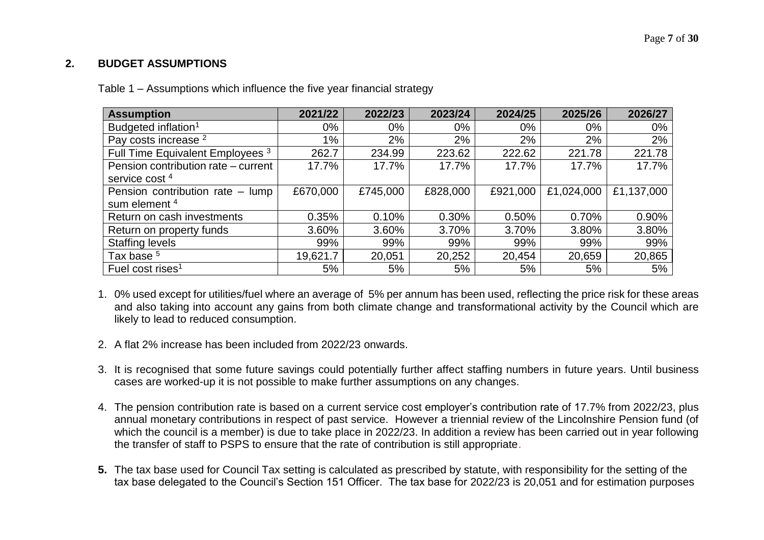## **2. BUDGET ASSUMPTIONS**

| Table 1 – Assumptions which influence the five year financial strategy |  |
|------------------------------------------------------------------------|--|
|------------------------------------------------------------------------|--|

| <b>Assumption</b>                   | 2021/22  | 2022/23  | 2023/24  | 2024/25  | 2025/26    | 2026/27    |
|-------------------------------------|----------|----------|----------|----------|------------|------------|
| Budgeted inflation <sup>1</sup>     | 0%       | $0\%$    | 0%       | $0\%$    | $0\%$      | $0\%$      |
| Pay costs increase <sup>2</sup>     | 1%       | 2%       | 2%       | 2%       | 2%         | 2%         |
| Full Time Equivalent Employees 3    | 262.7    | 234.99   | 223.62   | 222.62   | 221.78     | 221.78     |
| Pension contribution rate – current | 17.7%    | 17.7%    | 17.7%    | 17.7%    | 17.7%      | 17.7%      |
| service cost <sup>4</sup>           |          |          |          |          |            |            |
| Pension contribution rate - lump    | £670,000 | £745,000 | £828,000 | £921,000 | £1,024,000 | £1,137,000 |
| sum element <sup>4</sup>            |          |          |          |          |            |            |
| Return on cash investments          | 0.35%    | 0.10%    | 0.30%    | 0.50%    | 0.70%      | 0.90%      |
| Return on property funds            | 3.60%    | 3.60%    | 3.70%    | 3.70%    | 3.80%      | 3.80%      |
| <b>Staffing levels</b>              | 99%      | 99%      | 99%      | 99%      | 99%        | 99%        |
| Tax base <sup>5</sup>               | 19,621.7 | 20,051   | 20,252   | 20,454   | 20,659     | 20,865     |
| Fuel cost rises <sup>1</sup>        | 5%       | 5%       | 5%       | 5%       | 5%         | 5%         |

- 1. 0% used except for utilities/fuel where an average of 5% per annum has been used, reflecting the price risk for these areas and also taking into account any gains from both climate change and transformational activity by the Council which are likely to lead to reduced consumption.
- 2. A flat 2% increase has been included from 2022/23 onwards.
- 3. It is recognised that some future savings could potentially further affect staffing numbers in future years. Until business cases are worked-up it is not possible to make further assumptions on any changes.
- 4. The pension contribution rate is based on a current service cost employer's contribution rate of 17.7% from 2022/23, plus annual monetary contributions in respect of past service. However a triennial review of the Lincolnshire Pension fund (of which the council is a member) is due to take place in 2022/23. In addition a review has been carried out in year following the transfer of staff to PSPS to ensure that the rate of contribution is still appropriate.
- **5.** The tax base used for Council Tax setting is calculated as prescribed by statute, with responsibility for the setting of the tax base delegated to the Council's Section 151 Officer. The tax base for 2022/23 is 20,051 and for estimation purposes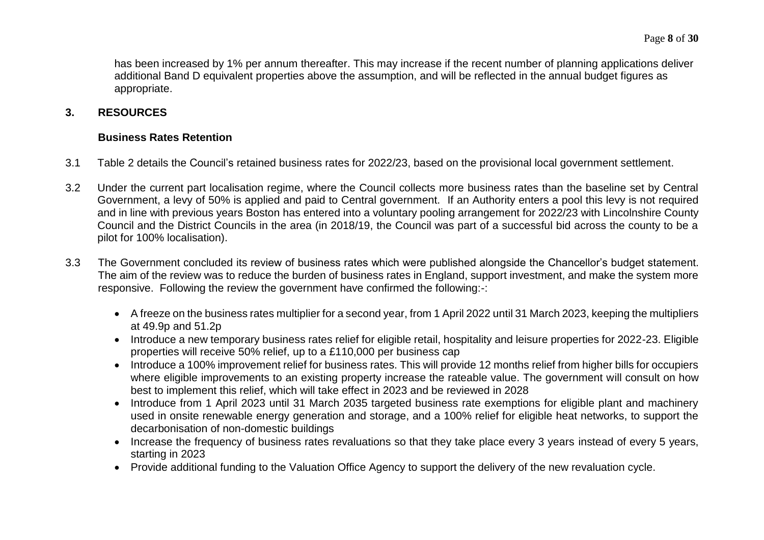has been increased by 1% per annum thereafter. This may increase if the recent number of planning applications deliver additional Band D equivalent properties above the assumption, and will be reflected in the annual budget figures as appropriate.

## **3. RESOURCES**

#### **Business Rates Retention**

- 3.1 Table 2 details the Council's retained business rates for 2022/23, based on the provisional local government settlement.
- 3.2 Under the current part localisation regime, where the Council collects more business rates than the baseline set by Central Government, a levy of 50% is applied and paid to Central government. If an Authority enters a pool this levy is not required and in line with previous years Boston has entered into a voluntary pooling arrangement for 2022/23 with Lincolnshire County Council and the District Councils in the area (in 2018/19, the Council was part of a successful bid across the county to be a pilot for 100% localisation).
- 3.3 The Government concluded its review of business rates which were published alongside the Chancellor's budget statement. The aim of the review was to reduce the burden of business rates in England, support investment, and make the system more responsive. Following the review the government have confirmed the following:-:
	- A freeze on the business rates multiplier for a second year, from 1 April 2022 until 31 March 2023, keeping the multipliers at 49.9p and 51.2p
	- Introduce a new temporary business rates relief for eligible retail, hospitality and leisure properties for 2022-23. Eligible properties will receive 50% relief, up to a £110,000 per business cap
	- Introduce a 100% improvement relief for business rates. This will provide 12 months relief from higher bills for occupiers where eligible improvements to an existing property increase the rateable value. The government will consult on how best to implement this relief, which will take effect in 2023 and be reviewed in 2028
	- Introduce from 1 April 2023 until 31 March 2035 targeted business rate exemptions for eligible plant and machinery used in onsite renewable energy generation and storage, and a 100% relief for eligible heat networks, to support the decarbonisation of non-domestic buildings
	- Increase the frequency of business rates revaluations so that they take place every 3 years instead of every 5 years, starting in 2023
	- Provide additional funding to the Valuation Office Agency to support the delivery of the new revaluation cycle.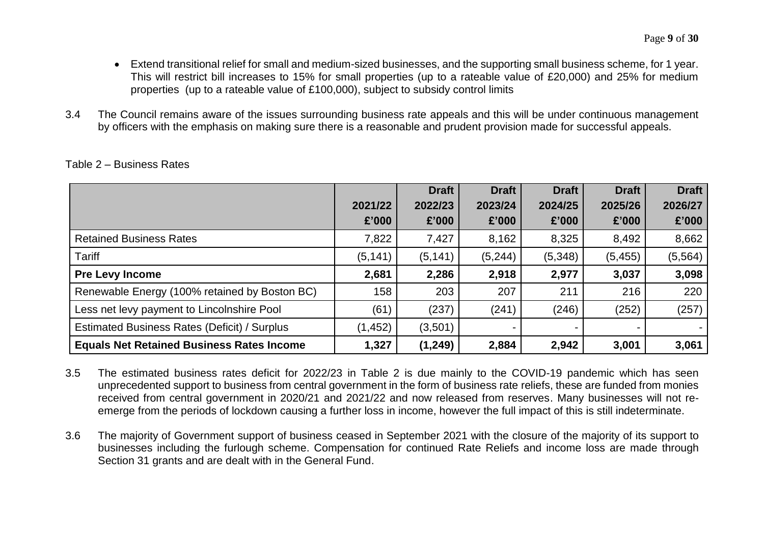- Extend transitional relief for small and medium-sized businesses, and the supporting small business scheme, for 1 year. This will restrict bill increases to 15% for small properties (up to a rateable value of £20,000) and 25% for medium properties (up to a rateable value of £100,000), subject to subsidy control limits
- 3.4 The Council remains aware of the issues surrounding business rate appeals and this will be under continuous management by officers with the emphasis on making sure there is a reasonable and prudent provision made for successful appeals.

|                                                  |          | <b>Draft</b> | <b>Draft</b> | <b>Draft</b> | <b>Draft</b> | <b>Draft</b> |
|--------------------------------------------------|----------|--------------|--------------|--------------|--------------|--------------|
|                                                  | 2021/22  | 2022/23      | 2023/24      | 2024/25      | 2025/26      | 2026/27      |
|                                                  | £'000    | £'000        | £'000        | £'000        | £'000        | £'000        |
| <b>Retained Business Rates</b>                   | 7,822    | 7,427        | 8,162        | 8,325        | 8,492        | 8,662        |
| <b>Tariff</b>                                    | (5, 141) | (5, 141)     | (5, 244)     | (5, 348)     | (5, 455)     | (5, 564)     |
| <b>Pre Levy Income</b>                           | 2,681    | 2,286        | 2,918        | 2,977        | 3,037        | 3,098        |
| Renewable Energy (100% retained by Boston BC)    | 158      | 203          | 207          | 211          | 216          | 220          |
| Less net levy payment to Lincolnshire Pool       | (61)     | (237)        | (241)        | (246)        | (252)        | (257)        |
| Estimated Business Rates (Deficit) / Surplus     | (1, 452) | (3,501)      |              |              |              |              |
| <b>Equals Net Retained Business Rates Income</b> | 1,327    | (1, 249)     | 2,884        | 2,942        | 3,001        | 3,061        |

Table 2 – Business Rates

3.5 The estimated business rates deficit for 2022/23 in Table 2 is due mainly to the COVID-19 pandemic which has seen unprecedented support to business from central government in the form of business rate reliefs, these are funded from monies received from central government in 2020/21 and 2021/22 and now released from reserves. Many businesses will not reemerge from the periods of lockdown causing a further loss in income, however the full impact of this is still indeterminate.

3.6 The majority of Government support of business ceased in September 2021 with the closure of the majority of its support to businesses including the furlough scheme. Compensation for continued Rate Reliefs and income loss are made through Section 31 grants and are dealt with in the General Fund.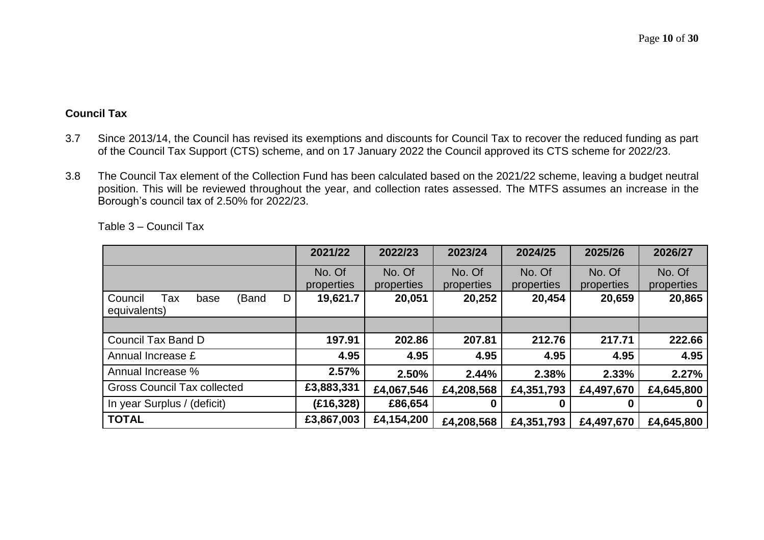### **Council Tax**

- 3.7 Since 2013/14, the Council has revised its exemptions and discounts for Council Tax to recover the reduced funding as part of the Council Tax Support (CTS) scheme, and on 17 January 2022 the Council approved its CTS scheme for 2022/23.
- 3.8 The Council Tax element of the Collection Fund has been calculated based on the 2021/22 scheme, leaving a budget neutral position. This will be reviewed throughout the year, and collection rates assessed. The MTFS assumes an increase in the Borough's council tax of 2.50% for 2022/23.

|                                                      | 2021/22    | 2022/23    | 2023/24    | 2024/25    | 2025/26    | 2026/27    |
|------------------------------------------------------|------------|------------|------------|------------|------------|------------|
|                                                      | No. Of     | No. Of     | No. Of     | No. Of     | No. Of     | No. Of     |
|                                                      | properties | properties | properties | properties | properties | properties |
| Council<br>(Band<br>D<br>Tax<br>base<br>equivalents) | 19,621.7   | 20,051     | 20,252     | 20,454     | 20,659     | 20,865     |
|                                                      |            |            |            |            |            |            |
| Council Tax Band D                                   | 197.91     | 202.86     | 207.81     | 212.76     | 217.71     | 222.66     |
| Annual Increase £                                    | 4.95       | 4.95       | 4.95       | 4.95       | 4.95       | 4.95       |
| Annual Increase %                                    | 2.57%      | 2.50%      | 2.44%      | 2.38%      | 2.33%      | 2.27%      |
| <b>Gross Council Tax collected</b>                   | £3,883,331 | £4,067,546 | £4,208,568 | £4,351,793 | £4,497,670 | £4,645,800 |
| In year Surplus / (deficit)                          | (E16, 328) | £86,654    | 0          |            |            |            |
| <b>TOTAL</b>                                         | £3,867,003 | £4,154,200 | £4,208,568 | £4,351,793 | £4,497,670 | £4,645,800 |

Table 3 – Council Tax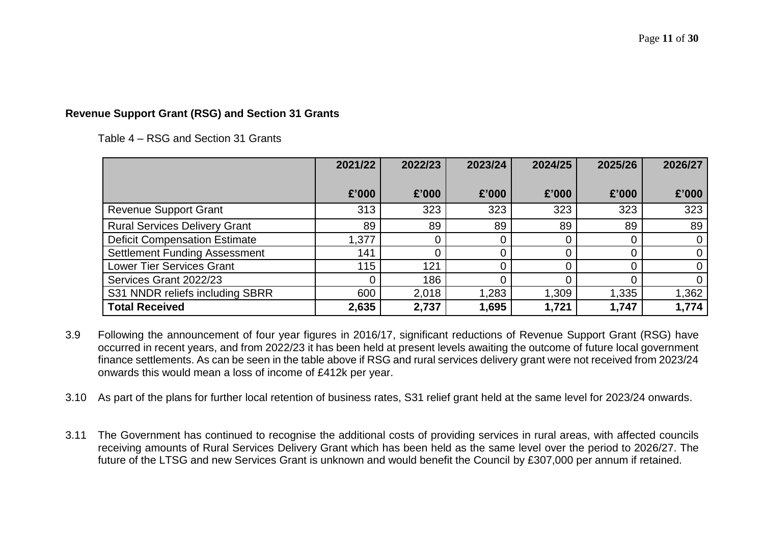#### **Revenue Support Grant (RSG) and Section 31 Grants**

Table 4 – RSG and Section 31 Grants

|                                      | 2021/22 | 2022/23 | 2023/24 | 2024/25 | 2025/26 | 2026/27        |
|--------------------------------------|---------|---------|---------|---------|---------|----------------|
|                                      |         |         |         |         |         |                |
|                                      | £'000   | £'000   | £'000   | £'000   | £'000   | £'000          |
| <b>Revenue Support Grant</b>         | 313     | 323     | 323     | 323     | 323     | 323            |
| <b>Rural Services Delivery Grant</b> | 89      | 89      | 89      | 89      | 89      | 89             |
| <b>Deficit Compensation Estimate</b> | 1,377   |         |         | 0       |         | $\mathbf 0$    |
| <b>Settlement Funding Assessment</b> | 141     |         |         |         |         |                |
| <b>Lower Tier Services Grant</b>     | 115     | 121     |         |         |         | $\overline{0}$ |
| Services Grant 2022/23               |         | 186     |         |         |         | 0              |
| S31 NNDR reliefs including SBRR      | 600     | 2,018   | 1,283   | 1,309   | 1,335   | 1,362          |
| <b>Total Received</b>                | 2,635   | 2,737   | 1,695   | 1,721   | 1,747   | 1,774          |

- 3.9 Following the announcement of four year figures in 2016/17, significant reductions of Revenue Support Grant (RSG) have occurred in recent years, and from 2022/23 it has been held at present levels awaiting the outcome of future local government finance settlements. As can be seen in the table above if RSG and rural services delivery grant were not received from 2023/24 onwards this would mean a loss of income of £412k per year.
- 3.10 As part of the plans for further local retention of business rates, S31 relief grant held at the same level for 2023/24 onwards.
- 3.11 The Government has continued to recognise the additional costs of providing services in rural areas, with affected councils receiving amounts of Rural Services Delivery Grant which has been held as the same level over the period to 2026/27. The future of the LTSG and new Services Grant is unknown and would benefit the Council by £307,000 per annum if retained.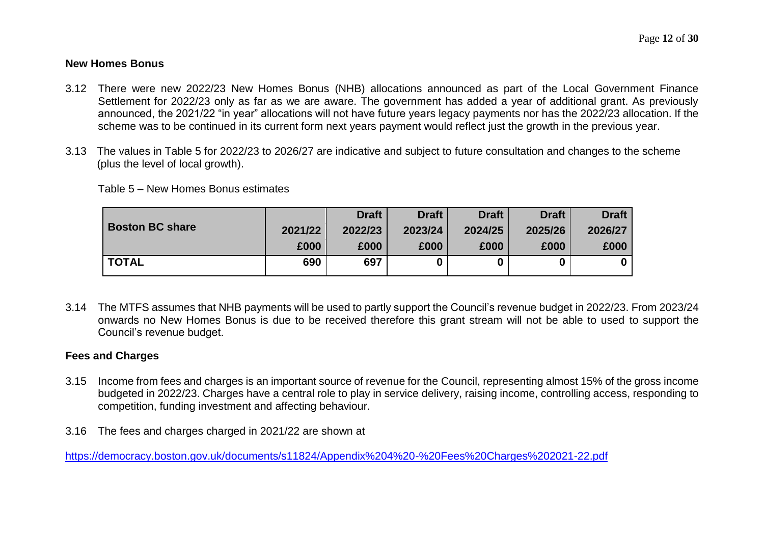#### **New Homes Bonus**

- 3.12 There were new 2022/23 New Homes Bonus (NHB) allocations announced as part of the Local Government Finance Settlement for 2022/23 only as far as we are aware. The government has added a year of additional grant. As previously announced, the 2021/22 "in year" allocations will not have future years legacy payments nor has the 2022/23 allocation. If the scheme was to be continued in its current form next years payment would reflect just the growth in the previous year.
- 3.13 The values in Table 5 for 2022/23 to 2026/27 are indicative and subject to future consultation and changes to the scheme (plus the level of local growth).

Table 5 – New Homes Bonus estimates

|                        |         | <b>Draft</b> | <b>Draft</b> | <b>Draft</b> | <b>Draft</b> | <b>Draft</b> |
|------------------------|---------|--------------|--------------|--------------|--------------|--------------|
| <b>Boston BC share</b> | 2021/22 | 2022/23      | 2023/24      | 2024/25      | 2025/26      | 2026/27      |
|                        | £000    | £000         | £000         | £000         | £000         | £000         |
| <b>TOTAL</b>           | 690     | 697          |              |              |              |              |

3.14 The MTFS assumes that NHB payments will be used to partly support the Council's revenue budget in 2022/23. From 2023/24 onwards no New Homes Bonus is due to be received therefore this grant stream will not be able to used to support the Council's revenue budget.

#### **Fees and Charges**

- 3.15 Income from fees and charges is an important source of revenue for the Council, representing almost 15% of the gross income budgeted in 2022/23. Charges have a central role to play in service delivery, raising income, controlling access, responding to competition, funding investment and affecting behaviour.
- 3.16 The fees and charges charged in 2021/22 are shown at

https://democracy.boston.gov.uk/documents/s11824/Appendix%204%20-%20Fees%20Charges%202021-22.pdf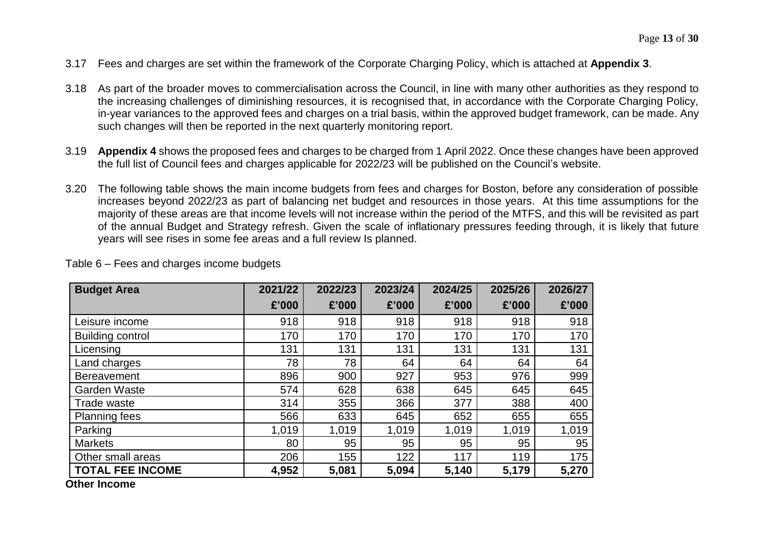- 3.17 Fees and charges are set within the framework of the Corporate Charging Policy, which is attached at **Appendix 3**.
- 3.18 As part of the broader moves to commercialisation across the Council, in line with many other authorities as they respond to the increasing challenges of diminishing resources, it is recognised that, in accordance with the Corporate Charging Policy, in-year variances to the approved fees and charges on a trial basis, within the approved budget framework, can be made. Any such changes will then be reported in the next quarterly monitoring report.
- 3.19 **Appendix 4** shows the proposed fees and charges to be charged from 1 April 2022. Once these changes have been approved the full list of Council fees and charges applicable for 2022/23 will be published on the Council's website.
- 3.20 The following table shows the main income budgets from fees and charges for Boston, before any consideration of possible increases beyond 2022/23 as part of balancing net budget and resources in those years. At this time assumptions for the majority of these areas are that income levels will not increase within the period of the MTFS, and this will be revisited as part of the annual Budget and Strategy refresh. Given the scale of inflationary pressures feeding through, it is likely that future years will see rises in some fee areas and a full review Is planned.

| <b>Budget Area</b>      | 2021/22 | 2022/23 | 2023/24 | 2024/25 | 2025/26 | 2026/27 |
|-------------------------|---------|---------|---------|---------|---------|---------|
|                         | £'000   | £'000   | £'000   | £'000   | £'000   | £'000   |
| Leisure income          | 918     | 918     | 918     | 918     | 918     | 918     |
| <b>Building control</b> | 170     | 170     | 170     | 170     | 170     | 170     |
| Licensing               | 131     | 131     | 131     | 131     | 131     | 131     |
| Land charges            | 78      | 78      | 64      | 64      | 64      | 64      |
| <b>Bereavement</b>      | 896     | 900     | 927     | 953     | 976     | 999     |
| <b>Garden Waste</b>     | 574     | 628     | 638     | 645     | 645     | 645     |
| Trade waste             | 314     | 355     | 366     | 377     | 388     | 400     |
| <b>Planning fees</b>    | 566     | 633     | 645     | 652     | 655     | 655     |
| Parking                 | 1,019   | 1,019   | 1,019   | 1,019   | 1,019   | 1,019   |
| <b>Markets</b>          | 80      | 95      | 95      | 95      | 95      | 95      |
| Other small areas       | 206     | 155     | 122     | 117     | 119     | 175     |
| <b>TOTAL FEE INCOME</b> | 4,952   | 5,081   | 5,094   | 5,140   | 5,179   | 5,270   |

Table 6 – Fees and charges income budgets

**Other Income**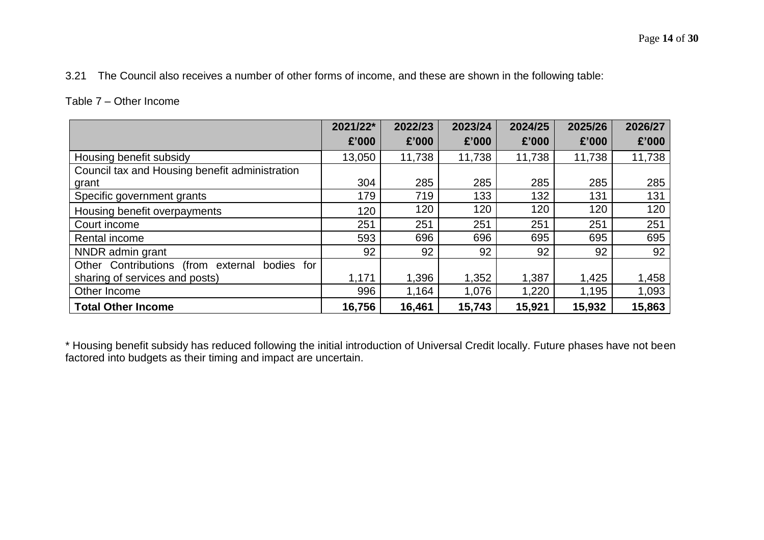## Table 7 – Other Income

|                                                     | 2021/22* | 2022/23 | 2023/24 | 2024/25 | 2025/26 | 2026/27 |
|-----------------------------------------------------|----------|---------|---------|---------|---------|---------|
|                                                     | £'000    | £'000   | £'000   | £'000   | £'000   | £'000   |
| Housing benefit subsidy                             | 13,050   | 11,738  | 11,738  | 11,738  | 11,738  | 11,738  |
| Council tax and Housing benefit administration      |          |         |         |         |         |         |
| grant                                               | 304      | 285     | 285     | 285     | 285     | 285     |
| Specific government grants                          | 179      | 719     | 133     | 132     | 131     | 131     |
| Housing benefit overpayments                        | 120      | 120     | 120     | 120     | 120     | 120     |
| Court income                                        | 251      | 251     | 251     | 251     | 251     | 251     |
| Rental income                                       | 593      | 696     | 696     | 695     | 695     | 695     |
| NNDR admin grant                                    | 92       | 92      | 92      | 92      | 92      | 92      |
| Other Contributions (from external<br>bodies<br>for |          |         |         |         |         |         |
| sharing of services and posts)                      | 1,171    | 1,396   | 1,352   | 1,387   | 1,425   | 1,458   |
| Other Income                                        | 996      | 1,164   | 1,076   | 1,220   | 1,195   | 1,093   |
| <b>Total Other Income</b>                           | 16,756   | 16,461  | 15,743  | 15,921  | 15,932  | 15,863  |

\* Housing benefit subsidy has reduced following the initial introduction of Universal Credit locally. Future phases have not been factored into budgets as their timing and impact are uncertain.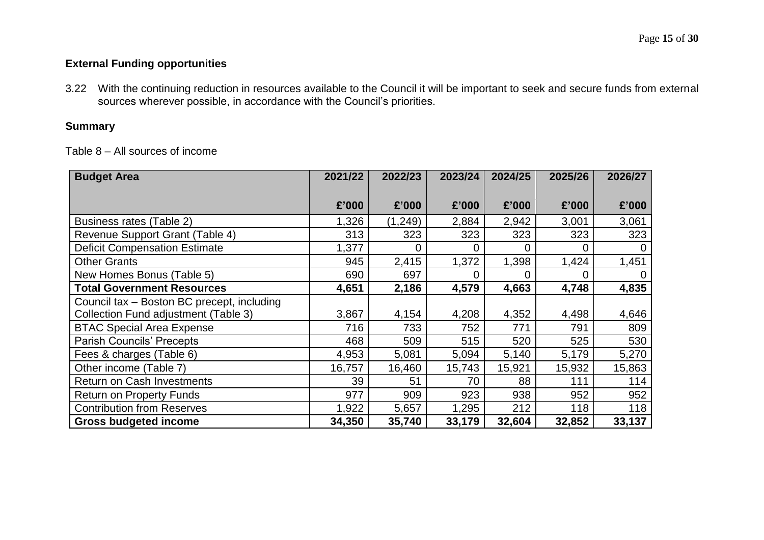## **External Funding opportunities**

3.22 With the continuing reduction in resources available to the Council it will be important to seek and secure funds from external sources wherever possible, in accordance with the Council's priorities.

## **Summary**

Table 8 – All sources of income

| <b>Budget Area</b>                         | 2021/22 | 2022/23 | 2023/24 | 2024/25 | 2025/26 | 2026/27 |
|--------------------------------------------|---------|---------|---------|---------|---------|---------|
|                                            |         |         |         |         |         |         |
|                                            | £'000   | £'000   | £'000   | £'000   | £'000   | £'000   |
| Business rates (Table 2)                   | 1,326   | (1,249) | 2,884   | 2,942   | 3,001   | 3,061   |
| Revenue Support Grant (Table 4)            | 313     | 323     | 323     | 323     | 323     | 323     |
| <b>Deficit Compensation Estimate</b>       | 1,377   | 0       | 0       | 0       | 0       | 0       |
| <b>Other Grants</b>                        | 945     | 2,415   | 1,372   | 1,398   | 1,424   | 1,451   |
| New Homes Bonus (Table 5)                  | 690     | 697     | 0       |         | 0       |         |
| <b>Total Government Resources</b>          | 4,651   | 2,186   | 4,579   | 4,663   | 4,748   | 4,835   |
| Council tax - Boston BC precept, including |         |         |         |         |         |         |
| Collection Fund adjustment (Table 3)       | 3,867   | 4,154   | 4,208   | 4,352   | 4,498   | 4,646   |
| <b>BTAC Special Area Expense</b>           | 716     | 733     | 752     | 771     | 791     | 809     |
| <b>Parish Councils' Precepts</b>           | 468     | 509     | 515     | 520     | 525     | 530     |
| Fees & charges (Table 6)                   | 4,953   | 5,081   | 5,094   | 5,140   | 5,179   | 5,270   |
| Other income (Table 7)                     | 16,757  | 16,460  | 15,743  | 15,921  | 15,932  | 15,863  |
| <b>Return on Cash Investments</b>          | 39      | 51      | 70      | 88      | 111     | 114     |
| <b>Return on Property Funds</b>            | 977     | 909     | 923     | 938     | 952     | 952     |
| <b>Contribution from Reserves</b>          | 1,922   | 5,657   | 1,295   | 212     | 118     | 118     |
| <b>Gross budgeted income</b>               | 34,350  | 35,740  | 33,179  | 32,604  | 32,852  | 33,137  |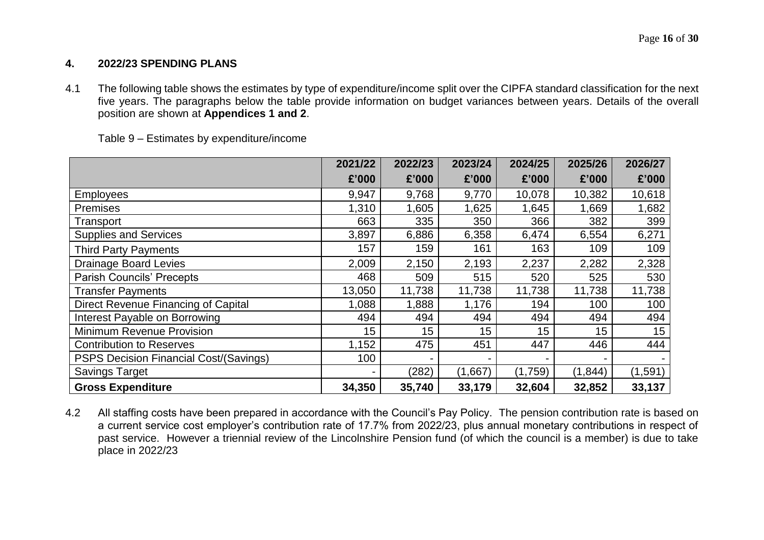#### **4. 2022/23 SPENDING PLANS**

4.1 The following table shows the estimates by type of expenditure/income split over the CIPFA standard classification for the next five years. The paragraphs below the table provide information on budget variances between years. Details of the overall position are shown at **Appendices 1 and 2**.

|                                        | 2021/22 | 2022/23 | 2023/24 | 2024/25 | 2025/26  | 2026/27 |
|----------------------------------------|---------|---------|---------|---------|----------|---------|
|                                        | £'000   | £'000   | £'000   | £'000   | £'000    | £'000   |
| <b>Employees</b>                       | 9,947   | 9,768   | 9,770   | 10,078  | 10,382   | 10,618  |
| Premises                               | 1,310   | 1,605   | 1,625   | 1,645   | 1,669    | 1,682   |
| Transport                              | 663     | 335     | 350     | 366     | 382      | 399     |
| <b>Supplies and Services</b>           | 3,897   | 6,886   | 6,358   | 6,474   | 6,554    | 6,271   |
| <b>Third Party Payments</b>            | 157     | 159     | 161     | 163     | 109      | 109     |
| <b>Drainage Board Levies</b>           | 2,009   | 2,150   | 2,193   | 2,237   | 2,282    | 2,328   |
| <b>Parish Councils' Precepts</b>       | 468     | 509     | 515     | 520     | 525      | 530     |
| <b>Transfer Payments</b>               | 13,050  | 11,738  | 11,738  | 11,738  | 11,738   | 11,738  |
| Direct Revenue Financing of Capital    | 1,088   | 1,888   | 1,176   | 194     | 100      | 100     |
| Interest Payable on Borrowing          | 494     | 494     | 494     | 494     | 494      | 494     |
| Minimum Revenue Provision              | 15      | 15      | 15      | 15      | 15       | 15      |
| <b>Contribution to Reserves</b>        | 1,152   | 475     | 451     | 447     | 446      | 444     |
| PSPS Decision Financial Cost/(Savings) | 100     |         |         |         |          |         |
| <b>Savings Target</b>                  |         | (282)   | (1,667) | (1,759) | (1, 844) | (1,591) |
| <b>Gross Expenditure</b>               | 34,350  | 35,740  | 33,179  | 32,604  | 32,852   | 33,137  |

Table 9 – Estimates by expenditure/income

4.2 All staffing costs have been prepared in accordance with the Council's Pay Policy. The pension contribution rate is based on a current service cost employer's contribution rate of 17.7% from 2022/23, plus annual monetary contributions in respect of past service. However a triennial review of the Lincolnshire Pension fund (of which the council is a member) is due to take place in 2022/23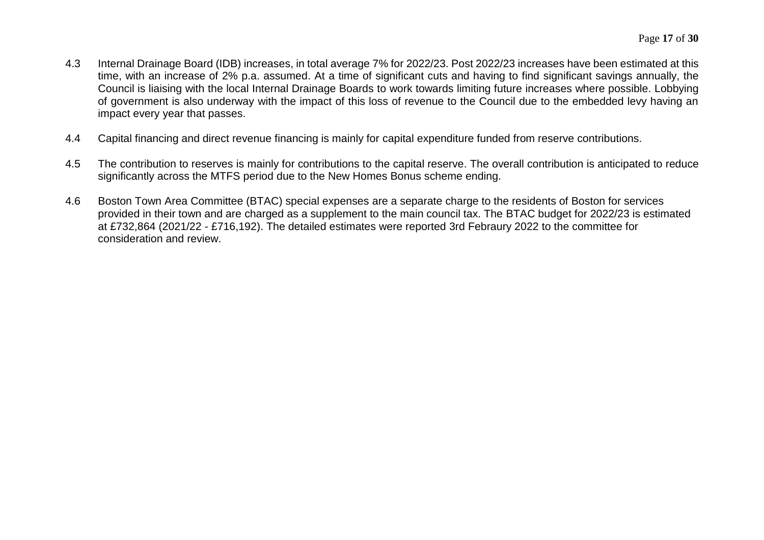- 4.3 Internal Drainage Board (IDB) increases, in total average 7% for 2022/23. Post 2022/23 increases have been estimated at this time, with an increase of 2% p.a. assumed. At a time of significant cuts and having to find significant savings annually, the Council is liaising with the local Internal Drainage Boards to work towards limiting future increases where possible. Lobbying of government is also underway with the impact of this loss of revenue to the Council due to the embedded levy having an impact every year that passes.
- 4.4 Capital financing and direct revenue financing is mainly for capital expenditure funded from reserve contributions.
- 4.5 The contribution to reserves is mainly for contributions to the capital reserve. The overall contribution is anticipated to reduce significantly across the MTFS period due to the New Homes Bonus scheme ending.
- 4.6 Boston Town Area Committee (BTAC) special expenses are a separate charge to the residents of Boston for services provided in their town and are charged as a supplement to the main council tax. The BTAC budget for 2022/23 is estimated at £732,864 (2021/22 - £716,192). The detailed estimates were reported 3rd Febraury 2022 to the committee for consideration and review.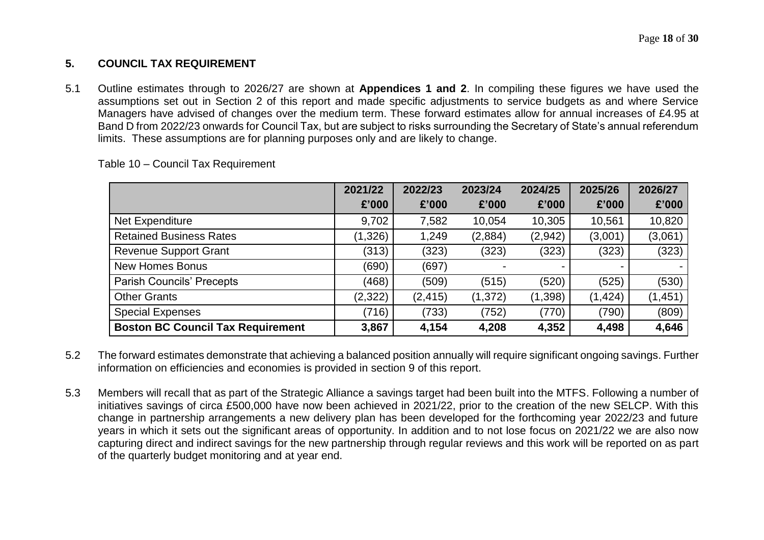## **5. COUNCIL TAX REQUIREMENT**

5.1 Outline estimates through to 2026/27 are shown at **Appendices 1 and 2**. In compiling these figures we have used the assumptions set out in Section 2 of this report and made specific adjustments to service budgets as and where Service Managers have advised of changes over the medium term. These forward estimates allow for annual increases of £4.95 at Band D from 2022/23 onwards for Council Tax, but are subject to risks surrounding the Secretary of State's annual referendum limits. These assumptions are for planning purposes only and are likely to change.

|                                          | 2021/22 | 2022/23  | 2023/24  | 2024/25  | 2025/26  | 2026/27  |
|------------------------------------------|---------|----------|----------|----------|----------|----------|
|                                          | £'000   | £'000    | £'000    | £'000    | £'000    | £'000    |
| Net Expenditure                          | 9,702   | 7,582    | 10,054   | 10,305   | 10,561   | 10,820   |
| <b>Retained Business Rates</b>           | (1,326) | 1,249    | (2,884)  | (2,942)  | (3,001)  | (3,061)  |
| <b>Revenue Support Grant</b>             | (313)   | (323)    | (323)    | (323)    | (323)    | (323)    |
| <b>New Homes Bonus</b>                   | (690)   | (697)    |          |          |          |          |
| <b>Parish Councils' Precepts</b>         | (468)   | (509)    | (515)    | (520)    | (525)    | (530)    |
| <b>Other Grants</b>                      | (2,322) | (2, 415) | (1, 372) | (1, 398) | (1, 424) | (1, 451) |
| <b>Special Expenses</b>                  | (716)   | (733)    | (752)    | (770)    | (790)    | (809)    |
| <b>Boston BC Council Tax Requirement</b> | 3,867   | 4,154    | 4,208    | 4,352    | 4,498    | 4,646    |

Table 10 – Council Tax Requirement

- 5.2 The forward estimates demonstrate that achieving a balanced position annually will require significant ongoing savings. Further information on efficiencies and economies is provided in section 9 of this report.
- 5.3 Members will recall that as part of the Strategic Alliance a savings target had been built into the MTFS. Following a number of initiatives savings of circa £500,000 have now been achieved in 2021/22, prior to the creation of the new SELCP. With this change in partnership arrangements a new delivery plan has been developed for the forthcoming year 2022/23 and future years in which it sets out the significant areas of opportunity. In addition and to not lose focus on 2021/22 we are also now capturing direct and indirect savings for the new partnership through regular reviews and this work will be reported on as part of the quarterly budget monitoring and at year end.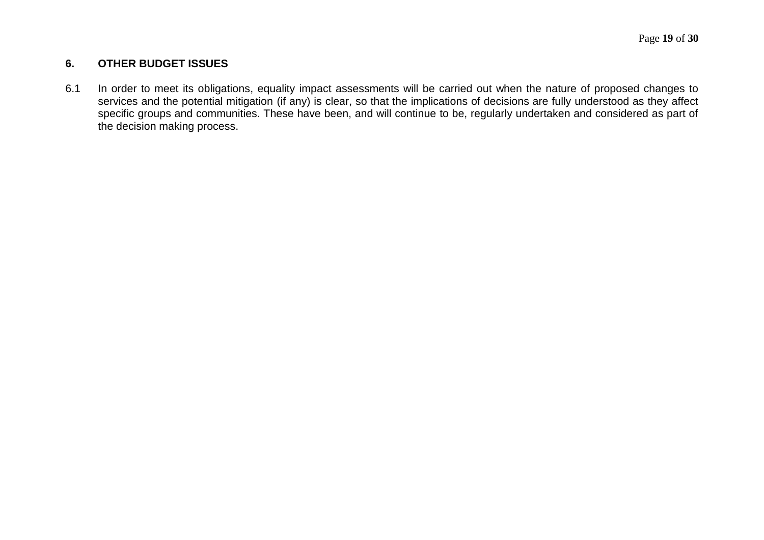## **6. OTHER BUDGET ISSUES**

6.1 In order to meet its obligations, equality impact assessments will be carried out when the nature of proposed changes to services and the potential mitigation (if any) is clear, so that the implications of decisions are fully understood as they affect specific groups and communities. These have been, and will continue to be, regularly undertaken and considered as part of the decision making process.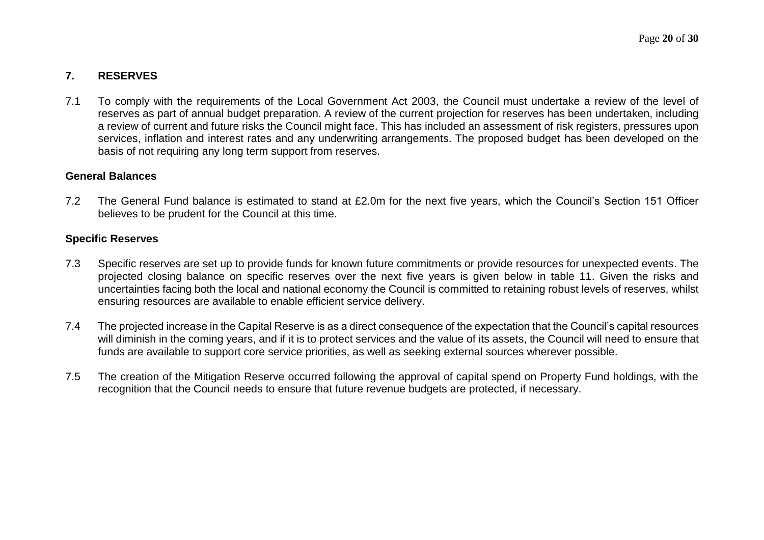## **7. RESERVES**

7.1 To comply with the requirements of the Local Government Act 2003, the Council must undertake a review of the level of reserves as part of annual budget preparation. A review of the current projection for reserves has been undertaken, including a review of current and future risks the Council might face. This has included an assessment of risk registers, pressures upon services, inflation and interest rates and any underwriting arrangements. The proposed budget has been developed on the basis of not requiring any long term support from reserves.

#### **General Balances**

7.2 The General Fund balance is estimated to stand at £2.0m for the next five years, which the Council's Section 151 Officer believes to be prudent for the Council at this time.

#### **Specific Reserves**

- 7.3 Specific reserves are set up to provide funds for known future commitments or provide resources for unexpected events. The projected closing balance on specific reserves over the next five years is given below in table 11. Given the risks and uncertainties facing both the local and national economy the Council is committed to retaining robust levels of reserves, whilst ensuring resources are available to enable efficient service delivery.
- 7.4 The projected increase in the Capital Reserve is as a direct consequence of the expectation that the Council's capital resources will diminish in the coming years, and if it is to protect services and the value of its assets, the Council will need to ensure that funds are available to support core service priorities, as well as seeking external sources wherever possible.
- 7.5 The creation of the Mitigation Reserve occurred following the approval of capital spend on Property Fund holdings, with the recognition that the Council needs to ensure that future revenue budgets are protected, if necessary.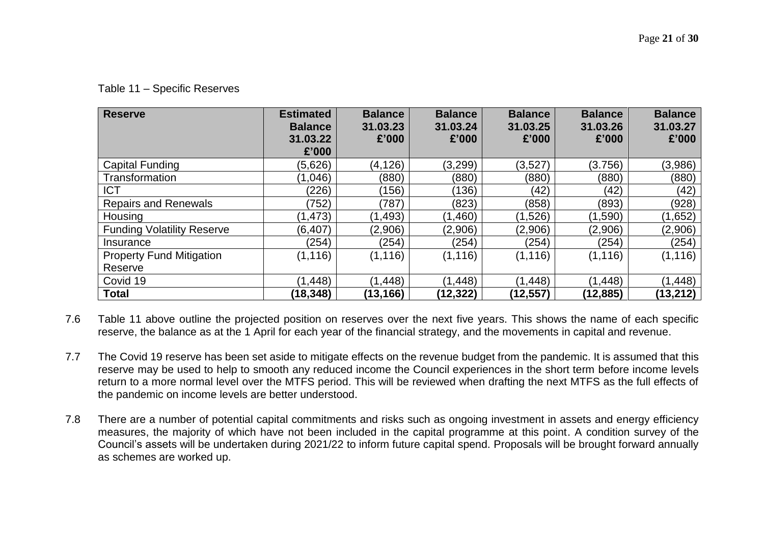| <b>Reserve</b>                    | <b>Estimated</b><br><b>Balance</b><br>31.03.22<br>£'000 | <b>Balance</b><br>31.03.23<br>£'000 | <b>Balance</b><br>31.03.24<br>£'000 | <b>Balance</b><br>31.03.25<br>£'000 | <b>Balance</b><br>31.03.26<br>£'000 | <b>Balance</b><br>31.03.27<br>£'000 |
|-----------------------------------|---------------------------------------------------------|-------------------------------------|-------------------------------------|-------------------------------------|-------------------------------------|-------------------------------------|
| <b>Capital Funding</b>            | (5,626)                                                 | (4, 126)                            | (3,299)                             | (3,527)                             | (3.756)                             | (3,986)                             |
| Transformation                    | (1,046)                                                 | (880)                               | (880)                               | (880)                               | (880)                               | (880)                               |
| <b>ICT</b>                        | (226)                                                   | (156)                               | (136)                               | (42)                                | (42)                                | (42)                                |
| <b>Repairs and Renewals</b>       | (752)                                                   | (787)                               | (823)                               | (858)                               | (893)                               | (928)                               |
| Housing                           | (1, 473)                                                | (1, 493)                            | (1,460)                             | (1,526)                             | (1,590)                             | (1,652)                             |
| <b>Funding Volatility Reserve</b> | (6, 407)                                                | (2,906)                             | (2,906)                             | (2,906)                             | (2,906)                             | (2,906)                             |
| Insurance                         | (254)                                                   | (254)                               | (254)                               | (254)                               | (254)                               | (254)                               |
| <b>Property Fund Mitigation</b>   | (1, 116)                                                | (1, 116)                            | (1, 116)                            | (1, 116)                            | (1, 116)                            | (1, 116)                            |
| Reserve                           |                                                         |                                     |                                     |                                     |                                     |                                     |
| Covid 19                          | (1, 448)                                                | (1, 448)                            | (1, 448)                            | (1, 448)                            | (1, 448)                            | (1, 448)                            |
| <b>Total</b>                      | (18, 348)                                               | (13, 166)                           | (12, 322)                           | (12, 557)                           | (12,885)                            | (13, 212)                           |

Table 11 – Specific Reserves

7.6 Table 11 above outline the projected position on reserves over the next five years. This shows the name of each specific reserve, the balance as at the 1 April for each year of the financial strategy, and the movements in capital and revenue.

- 7.7 The Covid 19 reserve has been set aside to mitigate effects on the revenue budget from the pandemic. It is assumed that this reserve may be used to help to smooth any reduced income the Council experiences in the short term before income levels return to a more normal level over the MTFS period. This will be reviewed when drafting the next MTFS as the full effects of the pandemic on income levels are better understood.
- 7.8 There are a number of potential capital commitments and risks such as ongoing investment in assets and energy efficiency measures, the majority of which have not been included in the capital programme at this point. A condition survey of the Council's assets will be undertaken during 2021/22 to inform future capital spend. Proposals will be brought forward annually as schemes are worked up.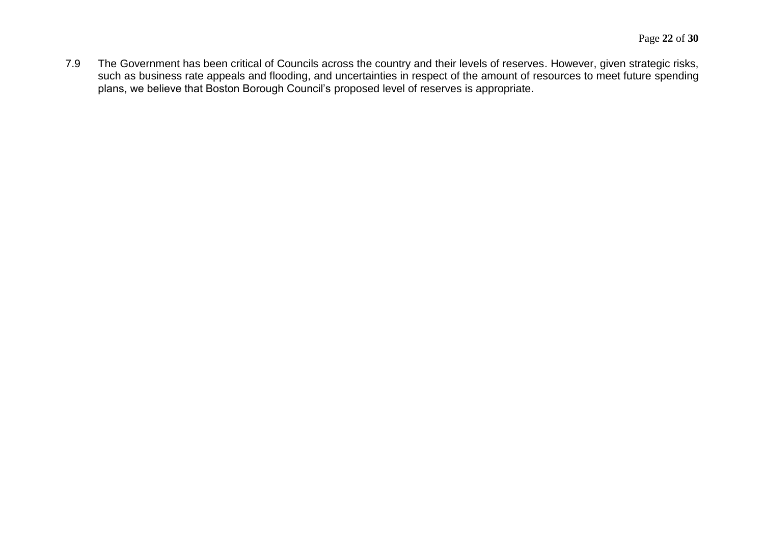7.9 The Government has been critical of Councils across the country and their levels of reserves. However, given strategic risks, such as business rate appeals and flooding, and uncertainties in respect of the amount of resources to meet future spending plans, we believe that Boston Borough Council's proposed level of reserves is appropriate.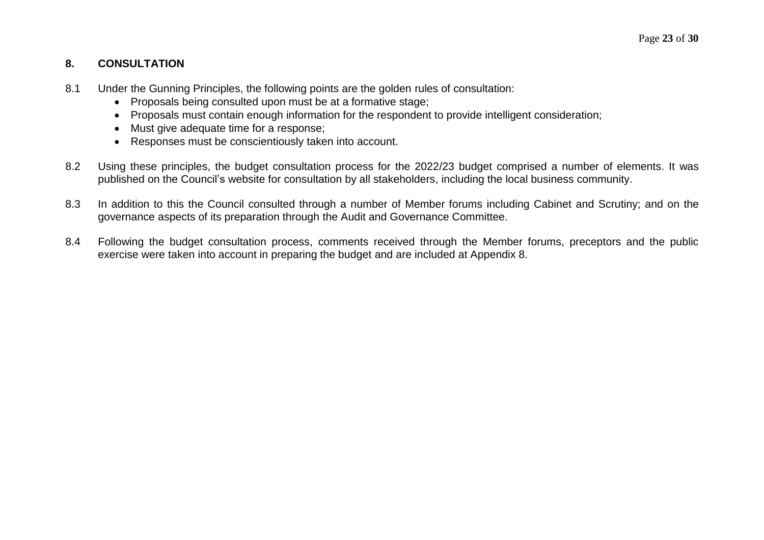## **8. CONSULTATION**

- 8.1 Under the Gunning Principles, the following points are the golden rules of consultation:
	- Proposals being consulted upon must be at a formative stage;
	- Proposals must contain enough information for the respondent to provide intelligent consideration;
	- Must give adequate time for a response:
	- Responses must be conscientiously taken into account.
- 8.2 Using these principles, the budget consultation process for the 2022/23 budget comprised a number of elements. It was published on the Council's website for consultation by all stakeholders, including the local business community.
- 8.3 In addition to this the Council consulted through a number of Member forums including Cabinet and Scrutiny; and on the governance aspects of its preparation through the Audit and Governance Committee.
- 8.4 Following the budget consultation process, comments received through the Member forums, preceptors and the public exercise were taken into account in preparing the budget and are included at Appendix 8.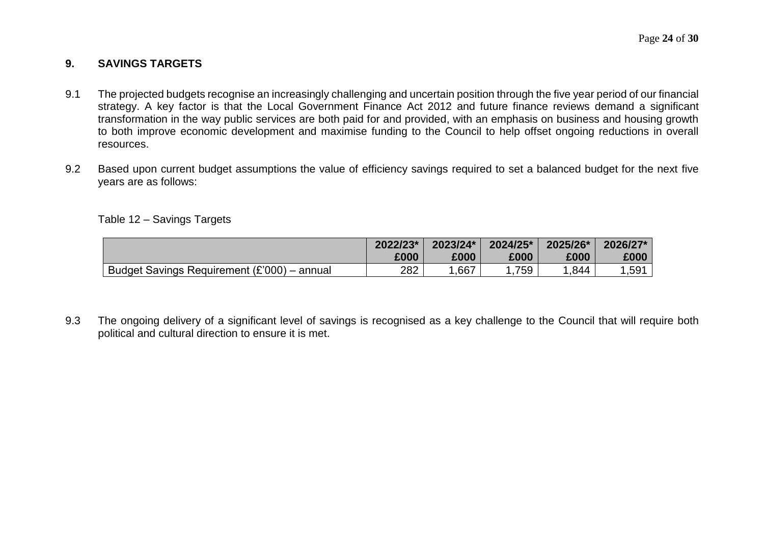#### **9. SAVINGS TARGETS**

- 9.1 The projected budgets recognise an increasingly challenging and uncertain position through the five year period of our financial strategy. A key factor is that the Local Government Finance Act 2012 and future finance reviews demand a significant transformation in the way public services are both paid for and provided, with an emphasis on business and housing growth to both improve economic development and maximise funding to the Council to help offset ongoing reductions in overall resources.
- 9.2 Based upon current budget assumptions the value of efficiency savings required to set a balanced budget for the next five years are as follows:

Table 12 – Savings Targets

|                                             | 2022/23* | 2023/24* | 2024/25* | 2025/26* | 2026/27* |
|---------------------------------------------|----------|----------|----------|----------|----------|
|                                             | £000     | £000     | £000     | £000     | £000     |
| Budget Savings Requirement (£'000) – annual | 282      | .667     | 759      | 0.844    | .591     |

9.3 The ongoing delivery of a significant level of savings is recognised as a key challenge to the Council that will require both political and cultural direction to ensure it is met.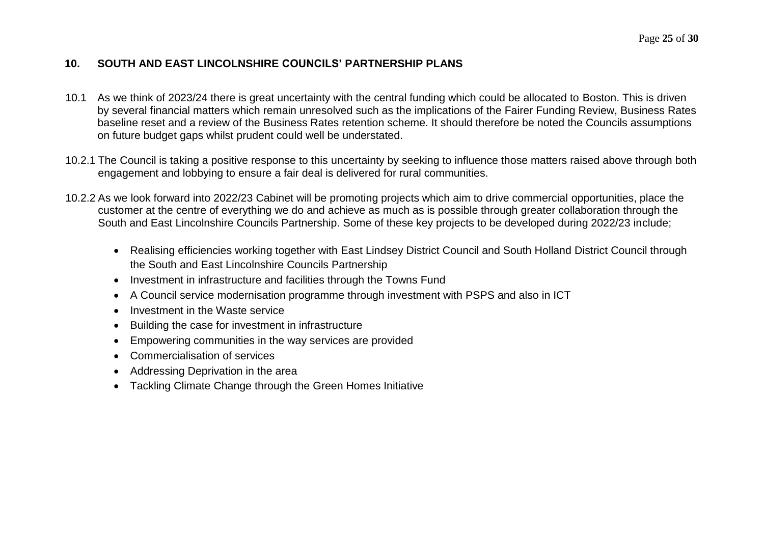## **10. SOUTH AND EAST LINCOLNSHIRE COUNCILS' PARTNERSHIP PLANS**

- 10.1 As we think of 2023/24 there is great uncertainty with the central funding which could be allocated to Boston. This is driven by several financial matters which remain unresolved such as the implications of the Fairer Funding Review, Business Rates baseline reset and a review of the Business Rates retention scheme. It should therefore be noted the Councils assumptions on future budget gaps whilst prudent could well be understated.
- 10.2.1 The Council is taking a positive response to this uncertainty by seeking to influence those matters raised above through both engagement and lobbying to ensure a fair deal is delivered for rural communities.
- 10.2.2 As we look forward into 2022/23 Cabinet will be promoting projects which aim to drive commercial opportunities, place the customer at the centre of everything we do and achieve as much as is possible through greater collaboration through the South and East Lincolnshire Councils Partnership. Some of these key projects to be developed during 2022/23 include;
	- Realising efficiencies working together with East Lindsey District Council and South Holland District Council through the South and East Lincolnshire Councils Partnership
	- Investment in infrastructure and facilities through the Towns Fund
	- A Council service modernisation programme through investment with PSPS and also in ICT
	- Investment in the Waste service
	- Building the case for investment in infrastructure
	- Empowering communities in the way services are provided
	- Commercialisation of services
	- Addressing Deprivation in the area
	- Tackling Climate Change through the Green Homes Initiative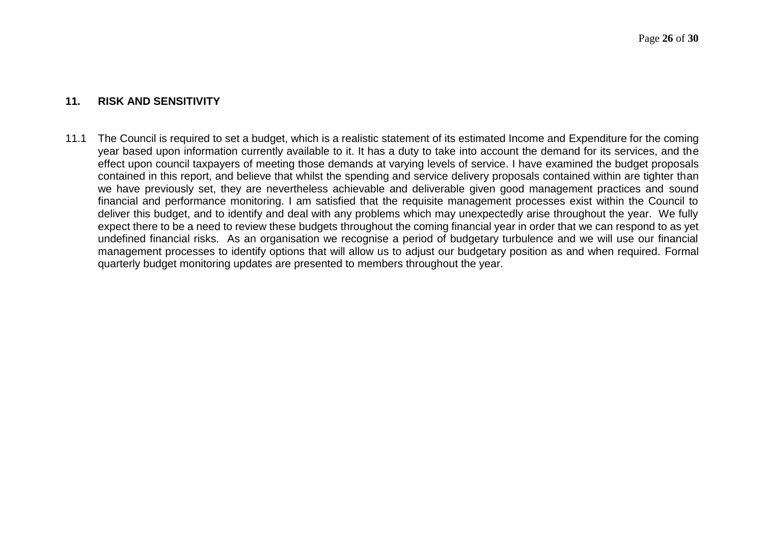#### **11. RISK AND SENSITIVITY**

11.1 The Council is required to set a budget, which is a realistic statement of its estimated Income and Expenditure for the coming year based upon information currently available to it. It has a duty to take into account the demand for its services, and the effect upon council taxpayers of meeting those demands at varying levels of service. I have examined the budget proposals contained in this report, and believe that whilst the spending and service delivery proposals contained within are tighter than we have previously set, they are nevertheless achievable and deliverable given good management practices and sound financial and performance monitoring. I am satisfied that the requisite management processes exist within the Council to deliver this budget, and to identify and deal with any problems which may unexpectedly arise throughout the year. We fully expect there to be a need to review these budgets throughout the coming financial year in order that we can respond to as yet undefined financial risks. As an organisation we recognise a period of budgetary turbulence and we will use our financial management processes to identify options that will allow us to adjust our budgetary position as and when required. Formal quarterly budget monitoring updates are presented to members throughout the year.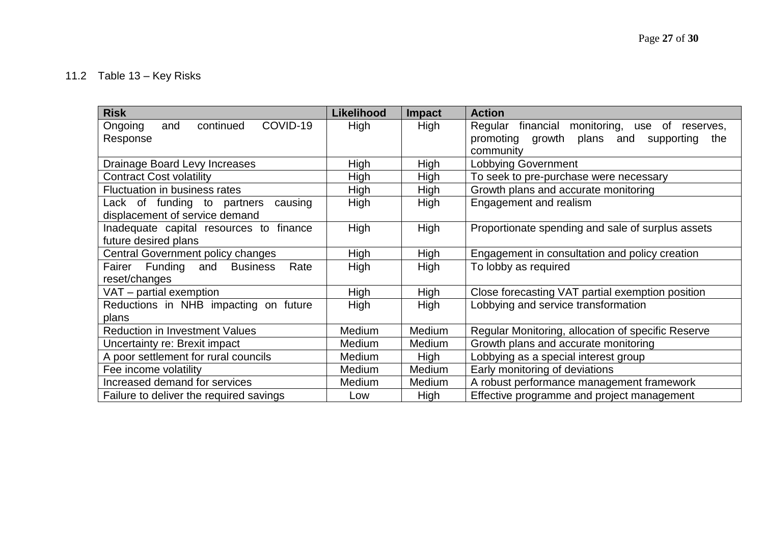## 11.2 Table 13 – Key Risks

| <b>Risk</b>                                   | <b>Likelihood</b> | <b>Impact</b> | <b>Action</b>                                      |
|-----------------------------------------------|-------------------|---------------|----------------------------------------------------|
| COVID-19<br>continued<br>Ongoing<br>and       | High              | <b>High</b>   | Regular financial monitoring, use of<br>reserves,  |
| Response                                      |                   |               | promoting growth<br>plans and<br>supporting<br>the |
|                                               |                   |               | community                                          |
| Drainage Board Levy Increases                 | <b>High</b>       | High          | <b>Lobbying Government</b>                         |
| <b>Contract Cost volatility</b>               | High              | High          | To seek to pre-purchase were necessary             |
| Fluctuation in business rates                 | High              | High          | Growth plans and accurate monitoring               |
| Lack of funding to partners<br>causing        | High              | High          | Engagement and realism                             |
| displacement of service demand                |                   |               |                                                    |
| Inadequate capital resources to finance       | High              | High          | Proportionate spending and sale of surplus assets  |
| future desired plans                          |                   |               |                                                    |
| Central Government policy changes             | <b>High</b>       | High          | Engagement in consultation and policy creation     |
| Fairer Funding and<br>Rate<br><b>Business</b> | High              | High          | To lobby as required                               |
| reset/changes                                 |                   |               |                                                    |
| $VAT$ – partial exemption                     | High              | High          | Close forecasting VAT partial exemption position   |
| Reductions in NHB impacting on future         | High              | High          | Lobbying and service transformation                |
| plans                                         |                   |               |                                                    |
| <b>Reduction in Investment Values</b>         | Medium            | Medium        | Regular Monitoring, allocation of specific Reserve |
| Uncertainty re: Brexit impact                 | Medium            | Medium        | Growth plans and accurate monitoring               |
| A poor settlement for rural councils          | Medium            | High          | Lobbying as a special interest group               |
| Fee income volatility                         | Medium            | Medium        | Early monitoring of deviations                     |
| Increased demand for services                 | Medium            | Medium        | A robust performance management framework          |
| Failure to deliver the required savings       | Low               | <b>High</b>   | Effective programme and project management         |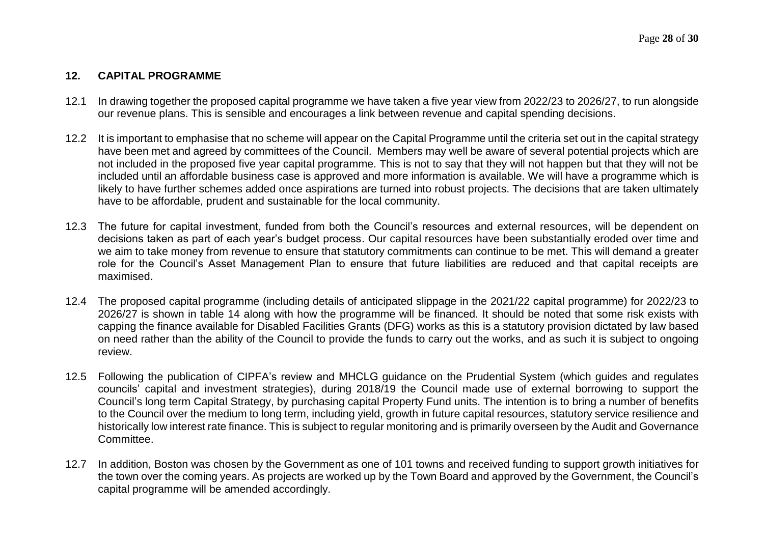## **12. CAPITAL PROGRAMME**

- 12.1 In drawing together the proposed capital programme we have taken a five year view from 2022/23 to 2026/27, to run alongside our revenue plans. This is sensible and encourages a link between revenue and capital spending decisions.
- 12.2 It is important to emphasise that no scheme will appear on the Capital Programme until the criteria set out in the capital strategy have been met and agreed by committees of the Council. Members may well be aware of several potential projects which are not included in the proposed five year capital programme. This is not to say that they will not happen but that they will not be included until an affordable business case is approved and more information is available. We will have a programme which is likely to have further schemes added once aspirations are turned into robust projects. The decisions that are taken ultimately have to be affordable, prudent and sustainable for the local community.
- 12.3 The future for capital investment, funded from both the Council's resources and external resources, will be dependent on decisions taken as part of each year's budget process. Our capital resources have been substantially eroded over time and we aim to take money from revenue to ensure that statutory commitments can continue to be met. This will demand a greater role for the Council's Asset Management Plan to ensure that future liabilities are reduced and that capital receipts are maximised.
- 12.4 The proposed capital programme (including details of anticipated slippage in the 2021/22 capital programme) for 2022/23 to 2026/27 is shown in table 14 along with how the programme will be financed. It should be noted that some risk exists with capping the finance available for Disabled Facilities Grants (DFG) works as this is a statutory provision dictated by law based on need rather than the ability of the Council to provide the funds to carry out the works, and as such it is subject to ongoing review.
- 12.5 Following the publication of CIPFA's review and MHCLG guidance on the Prudential System (which guides and regulates councils' capital and investment strategies), during 2018/19 the Council made use of external borrowing to support the Council's long term Capital Strategy, by purchasing capital Property Fund units. The intention is to bring a number of benefits to the Council over the medium to long term, including yield, growth in future capital resources, statutory service resilience and historically low interest rate finance. This is subject to regular monitoring and is primarily overseen by the Audit and Governance Committee.
- 12.7 In addition, Boston was chosen by the Government as one of 101 towns and received funding to support growth initiatives for the town over the coming years. As projects are worked up by the Town Board and approved by the Government, the Council's capital programme will be amended accordingly.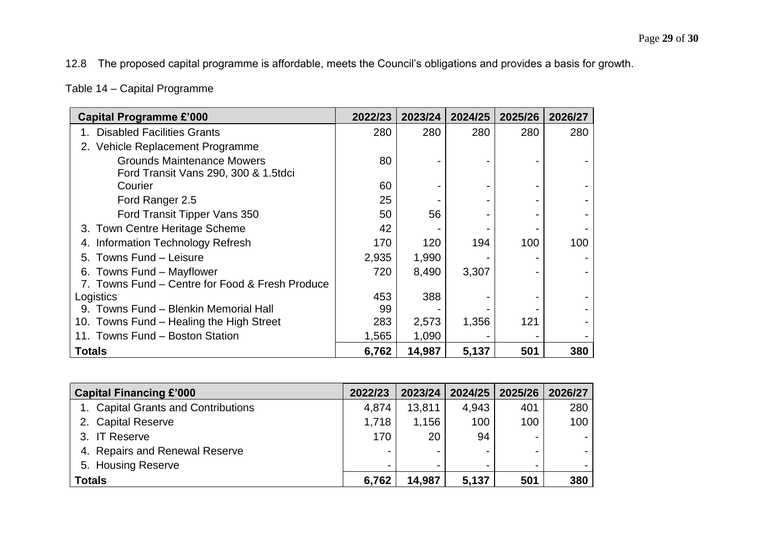12.8 The proposed capital programme is affordable, meets the Council's obligations and provides a basis for growth.

Table 14 – Capital Programme

| <b>Capital Programme £'000</b>                  | 2022/23 | 2023/24 | 2024/25 | 2025/26 | 2026/27 |
|-------------------------------------------------|---------|---------|---------|---------|---------|
| <b>Disabled Facilities Grants</b>               | 280     | 280     | 280     | 280     | 280     |
| 2. Vehicle Replacement Programme                |         |         |         |         |         |
| <b>Grounds Maintenance Mowers</b>               | 80      |         |         |         |         |
| Ford Transit Vans 290, 300 & 1.5tdci            |         |         |         |         |         |
| Courier                                         | 60      |         |         |         |         |
| Ford Ranger 2.5                                 | 25      |         |         |         |         |
| Ford Transit Tipper Vans 350                    | 50      | 56      |         |         |         |
| 3. Town Centre Heritage Scheme                  | 42      |         |         |         |         |
| Information Technology Refresh                  | 170     | 120     | 194     | 100     | 100     |
| 5. Towns Fund - Leisure                         | 2,935   | 1,990   |         |         |         |
| 6. Towns Fund – Mayflower                       | 720     | 8,490   | 3,307   |         |         |
| 7. Towns Fund – Centre for Food & Fresh Produce |         |         |         |         |         |
| Logistics                                       | 453     | 388     |         |         |         |
| 9. Towns Fund - Blenkin Memorial Hall           | 99      |         |         |         |         |
| 10. Towns Fund – Healing the High Street        | 283     | 2,573   | 1,356   | 121     |         |
| 11. Towns Fund - Boston Station                 | 1,565   | 1,090   |         |         |         |
| <b>Totals</b>                                   | 6,762   | 14,987  | 5,137   | 501     | 380     |

| <b>Capital Financing £'000</b>      | 2022/23 | 2023/24                  |       | 2024/25 2025/26          | 2026/27          |
|-------------------------------------|---------|--------------------------|-------|--------------------------|------------------|
| 1. Capital Grants and Contributions | 4,874   | 13,811                   | 4,943 | 401                      | 280              |
| 2. Capital Reserve                  | 1,718   | 1,156                    | 100   | 100                      | 100 <sub>1</sub> |
| 3. IT Reserve                       | 170     | 20                       | 94    | $\overline{\phantom{0}}$ |                  |
| 4. Repairs and Renewal Reserve      |         | $\overline{\phantom{0}}$ |       | $\overline{\phantom{0}}$ |                  |
| 5. Housing Reserve                  |         | $\overline{\phantom{0}}$ |       | $\overline{\phantom{0}}$ |                  |
| <b>Totals</b>                       | 6,762   | 14,987                   | 5,137 | 501                      | 380              |